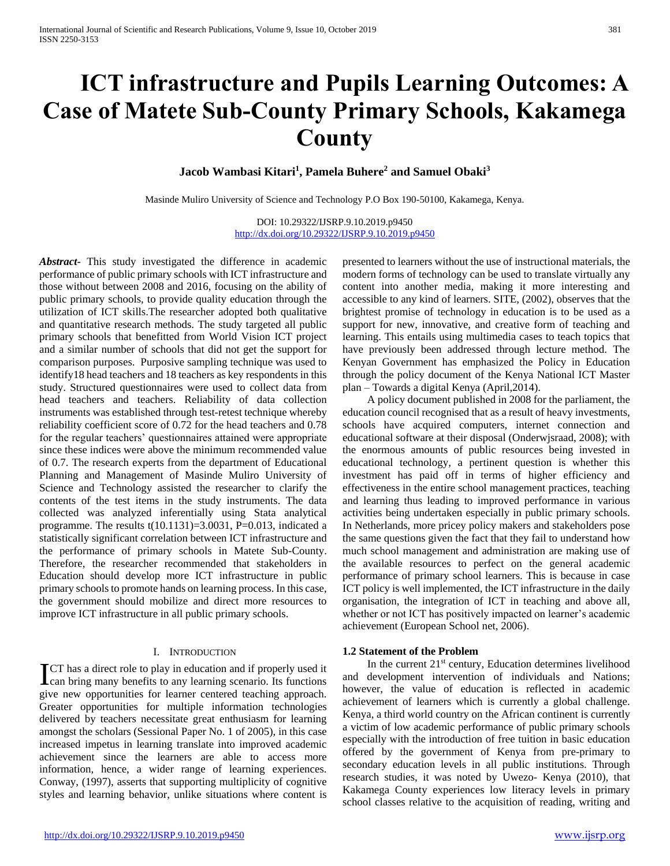# **ICT infrastructure and Pupils Learning Outcomes: A Case of Matete Sub-County Primary Schools, Kakamega County**

**Jacob Wambasi Kitari<sup>1</sup> , Pamela Buhere<sup>2</sup> and Samuel Obaki<sup>3</sup>**

Masinde Muliro University of Science and Technology P.O Box 190-50100, Kakamega, Kenya.

DOI: 10.29322/IJSRP.9.10.2019.p9450 <http://dx.doi.org/10.29322/IJSRP.9.10.2019.p9450>

*Abstract***-** This study investigated the difference in academic performance of public primary schools with ICT infrastructure and those without between 2008 and 2016, focusing on the ability of public primary schools, to provide quality education through the utilization of ICT skills.The researcher adopted both qualitative and quantitative research methods. The study targeted all public primary schools that benefitted from World Vision ICT project and a similar number of schools that did not get the support for comparison purposes. Purposive sampling technique was used to identify18 head teachers and 18 teachers as key respondents in this study. Structured questionnaires were used to collect data from head teachers and teachers. Reliability of data collection instruments was established through test-retest technique whereby reliability coefficient score of 0.72 for the head teachers and 0.78 for the regular teachers' questionnaires attained were appropriate since these indices were above the minimum recommended value of 0.7. The research experts from the department of Educational Planning and Management of Masinde Muliro University of Science and Technology assisted the researcher to clarify the contents of the test items in the study instruments. The data collected was analyzed inferentially using Stata analytical programme. The results  $t(10.1131)=3.0031$ ,  $P=0.013$ , indicated a statistically significant correlation between ICT infrastructure and the performance of primary schools in Matete Sub-County. Therefore, the researcher recommended that stakeholders in Education should develop more ICT infrastructure in public primary schools to promote hands on learning process. In this case, the government should mobilize and direct more resources to improve ICT infrastructure in all public primary schools.

#### I. INTRODUCTION

**T**CT has a direct role to play in education and if properly used it ICT has a direct role to play in education and if properly used it can bring many benefits to any learning scenario. Its functions give new opportunities for learner centered teaching approach. Greater opportunities for multiple information technologies delivered by teachers necessitate great enthusiasm for learning amongst the scholars (Sessional Paper No. 1 of 2005), in this case increased impetus in learning translate into improved academic achievement since the learners are able to access more information, hence, a wider range of learning experiences. Conway, (1997), asserts that supporting multiplicity of cognitive styles and learning behavior, unlike situations where content is

presented to learners without the use of instructional materials, the modern forms of technology can be used to translate virtually any content into another media, making it more interesting and accessible to any kind of learners. SITE, (2002), observes that the brightest promise of technology in education is to be used as a support for new, innovative, and creative form of teaching and learning. This entails using multimedia cases to teach topics that have previously been addressed through lecture method. The Kenyan Government has emphasized the Policy in Education through the policy document of the Kenya National ICT Master plan – Towards a digital Kenya (April,2014).

 A policy document published in 2008 for the parliament, the education council recognised that as a result of heavy investments, schools have acquired computers, internet connection and educational software at their disposal (Onderwjsraad, 2008); with the enormous amounts of public resources being invested in educational technology, a pertinent question is whether this investment has paid off in terms of higher efficiency and effectiveness in the entire school management practices, teaching and learning thus leading to improved performance in various activities being undertaken especially in public primary schools. In Netherlands, more pricey policy makers and stakeholders pose the same questions given the fact that they fail to understand how much school management and administration are making use of the available resources to perfect on the general academic performance of primary school learners. This is because in case ICT policy is well implemented, the ICT infrastructure in the daily organisation, the integration of ICT in teaching and above all, whether or not ICT has positively impacted on learner's academic achievement (European School net, 2006).

## **1.2 Statement of the Problem**

In the current  $21<sup>st</sup>$  century, Education determines livelihood and development intervention of individuals and Nations; however, the value of education is reflected in academic achievement of learners which is currently a global challenge. Kenya, a third world country on the African continent is currently a victim of low academic performance of public primary schools especially with the introduction of free tuition in basic education offered by the government of Kenya from pre-primary to secondary education levels in all public institutions. Through research studies, it was noted by Uwezo- Kenya (2010), that Kakamega County experiences low literacy levels in primary school classes relative to the acquisition of reading, writing and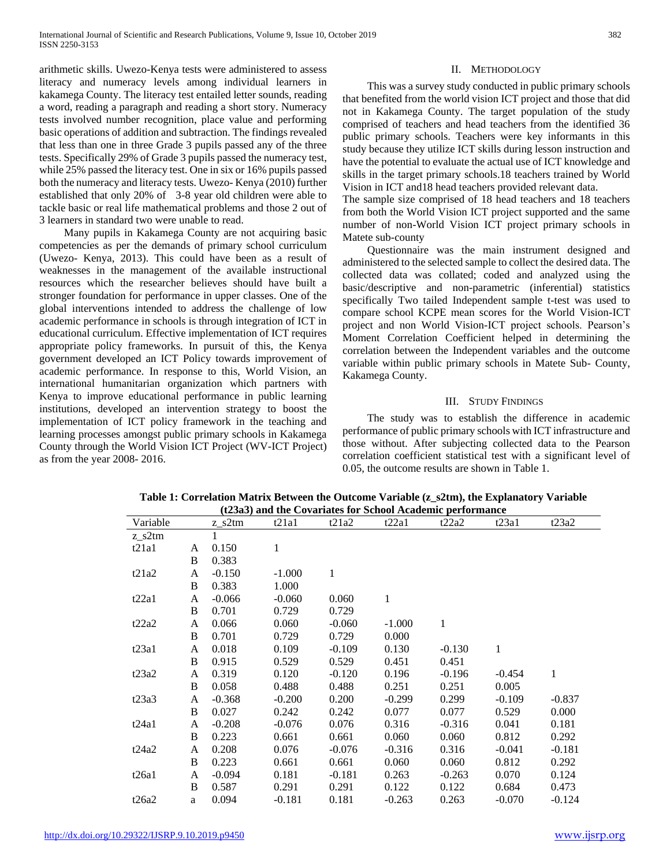arithmetic skills. Uwezo-Kenya tests were administered to assess literacy and numeracy levels among individual learners in kakamega County. The literacy test entailed letter sounds, reading a word, reading a paragraph and reading a short story. Numeracy tests involved number recognition, place value and performing basic operations of addition and subtraction. The findings revealed that less than one in three Grade 3 pupils passed any of the three tests. Specifically 29% of Grade 3 pupils passed the numeracy test, while 25% passed the literacy test. One in six or 16% pupils passed both the numeracy and literacy tests. Uwezo- Kenya (2010) further established that only 20% of 3-8 year old children were able to tackle basic or real life mathematical problems and those 2 out of 3 learners in standard two were unable to read.

 Many pupils in Kakamega County are not acquiring basic competencies as per the demands of primary school curriculum (Uwezo- Kenya, 2013). This could have been as a result of weaknesses in the management of the available instructional resources which the researcher believes should have built a stronger foundation for performance in upper classes. One of the global interventions intended to address the challenge of low academic performance in schools is through integration of ICT in educational curriculum. Effective implementation of ICT requires appropriate policy frameworks. In pursuit of this, the Kenya government developed an ICT Policy towards improvement of academic performance. In response to this, World Vision, an international humanitarian organization which partners with Kenya to improve educational performance in public learning institutions, developed an intervention strategy to boost the implementation of ICT policy framework in the teaching and learning processes amongst public primary schools in Kakamega County through the World Vision ICT Project (WV-ICT Project) as from the year 2008- 2016.

### II. METHODOLOGY

 This was a survey study conducted in public primary schools that benefited from the world vision ICT project and those that did not in Kakamega County. The target population of the study comprised of teachers and head teachers from the identified 36 public primary schools. Teachers were key informants in this study because they utilize ICT skills during lesson instruction and have the potential to evaluate the actual use of ICT knowledge and skills in the target primary schools.18 teachers trained by World Vision in ICT and18 head teachers provided relevant data.

The sample size comprised of 18 head teachers and 18 teachers from both the World Vision ICT project supported and the same number of non-World Vision ICT project primary schools in Matete sub-county

 Questionnaire was the main instrument designed and administered to the selected sample to collect the desired data. The collected data was collated; coded and analyzed using the basic/descriptive and non-parametric (inferential) statistics specifically Two tailed Independent sample t-test was used to compare school KCPE mean scores for the World Vision-ICT project and non World Vision-ICT project schools. Pearson's Moment Correlation Coefficient helped in determining the correlation between the Independent variables and the outcome variable within public primary schools in Matete Sub- County, Kakamega County.

#### III. STUDY FINDINGS

 The study was to establish the difference in academic performance of public primary schools with ICT infrastructure and those without. After subjecting collected data to the Pearson correlation coefficient statistical test with a significant level of 0.05, the outcome results are shown in Table 1.

| Variable |   | $z$ <sub>_s</sub> 2tm | t21a1    | t21a2        | t22a1    | t22a2        | t23a1    | t23a2    |
|----------|---|-----------------------|----------|--------------|----------|--------------|----------|----------|
| z s2tm   |   |                       |          |              |          |              |          |          |
| t21a1    | A | 0.150                 | 1        |              |          |              |          |          |
|          | B | 0.383                 |          |              |          |              |          |          |
| t21a2    | A | $-0.150$              | $-1.000$ | $\mathbf{1}$ |          |              |          |          |
|          | B | 0.383                 | 1.000    |              |          |              |          |          |
| t22a1    | A | $-0.066$              | $-0.060$ | 0.060        | 1        |              |          |          |
|          | B | 0.701                 | 0.729    | 0.729        |          |              |          |          |
| t22a2    | A | 0.066                 | 0.060    | $-0.060$     | $-1.000$ | $\mathbf{1}$ |          |          |
|          | B | 0.701                 | 0.729    | 0.729        | 0.000    |              |          |          |
| t23a1    | A | 0.018                 | 0.109    | $-0.109$     | 0.130    | $-0.130$     | 1        |          |
|          | B | 0.915                 | 0.529    | 0.529        | 0.451    | 0.451        |          |          |
| t23a2    | A | 0.319                 | 0.120    | $-0.120$     | 0.196    | $-0.196$     | $-0.454$ | 1        |
|          | B | 0.058                 | 0.488    | 0.488        | 0.251    | 0.251        | 0.005    |          |
| t23a3    | A | $-0.368$              | $-0.200$ | 0.200        | $-0.299$ | 0.299        | $-0.109$ | $-0.837$ |
|          | B | 0.027                 | 0.242    | 0.242        | 0.077    | 0.077        | 0.529    | 0.000    |
| t24a1    | A | $-0.208$              | $-0.076$ | 0.076        | 0.316    | $-0.316$     | 0.041    | 0.181    |
|          | B | 0.223                 | 0.661    | 0.661        | 0.060    | 0.060        | 0.812    | 0.292    |
| t24a2    | A | 0.208                 | 0.076    | $-0.076$     | $-0.316$ | 0.316        | $-0.041$ | $-0.181$ |
|          | B | 0.223                 | 0.661    | 0.661        | 0.060    | 0.060        | 0.812    | 0.292    |
| t26a1    | A | $-0.094$              | 0.181    | $-0.181$     | 0.263    | $-0.263$     | 0.070    | 0.124    |
|          | B | 0.587                 | 0.291    | 0.291        | 0.122    | 0.122        | 0.684    | 0.473    |
| t26a2    | a | 0.094                 | $-0.181$ | 0.181        | $-0.263$ | 0.263        | $-0.070$ | $-0.124$ |

**Table 1: Correlation Matrix Between the Outcome Variable (z\_s2tm), the Explanatory Variable (t23a3) and the Covariates for School Academic performance**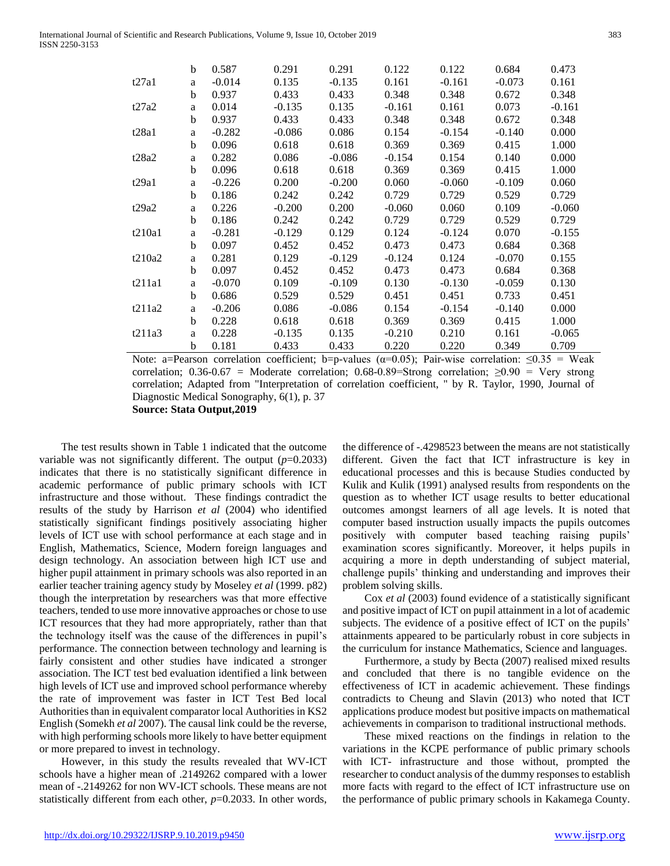|        | b            | 0.587    | 0.291    | 0.291    | 0.122    | 0.122    | 0.684    | 0.473    |
|--------|--------------|----------|----------|----------|----------|----------|----------|----------|
| t27a1  | a            | $-0.014$ | 0.135    | $-0.135$ | 0.161    | $-0.161$ | $-0.073$ | 0.161    |
|        | b            | 0.937    | 0.433    | 0.433    | 0.348    | 0.348    | 0.672    | 0.348    |
| t27a2  | a            | 0.014    | $-0.135$ | 0.135    | $-0.161$ | 0.161    | 0.073    | $-0.161$ |
|        | b            | 0.937    | 0.433    | 0.433    | 0.348    | 0.348    | 0.672    | 0.348    |
| t28a1  | a            | $-0.282$ | $-0.086$ | 0.086    | 0.154    | $-0.154$ | $-0.140$ | 0.000    |
|        | b            | 0.096    | 0.618    | 0.618    | 0.369    | 0.369    | 0.415    | 1.000    |
| t28a2  | a            | 0.282    | 0.086    | $-0.086$ | $-0.154$ | 0.154    | 0.140    | 0.000    |
|        | b            | 0.096    | 0.618    | 0.618    | 0.369    | 0.369    | 0.415    | 1.000    |
| t29a1  | a            | $-0.226$ | 0.200    | $-0.200$ | 0.060    | $-0.060$ | $-0.109$ | 0.060    |
|        | b            | 0.186    | 0.242    | 0.242    | 0.729    | 0.729    | 0.529    | 0.729    |
| t29a2  | a            | 0.226    | $-0.200$ | 0.200    | $-0.060$ | 0.060    | 0.109    | $-0.060$ |
|        | b            | 0.186    | 0.242    | 0.242    | 0.729    | 0.729    | 0.529    | 0.729    |
| t210a1 | a            | $-0.281$ | $-0.129$ | 0.129    | 0.124    | $-0.124$ | 0.070    | $-0.155$ |
|        | b            | 0.097    | 0.452    | 0.452    | 0.473    | 0.473    | 0.684    | 0.368    |
| t210a2 | a            | 0.281    | 0.129    | $-0.129$ | $-0.124$ | 0.124    | $-0.070$ | 0.155    |
|        | b            | 0.097    | 0.452    | 0.452    | 0.473    | 0.473    | 0.684    | 0.368    |
| t211a1 | $\mathbf{a}$ | $-0.070$ | 0.109    | $-0.109$ | 0.130    | $-0.130$ | $-0.059$ | 0.130    |
|        | b            | 0.686    | 0.529    | 0.529    | 0.451    | 0.451    | 0.733    | 0.451    |
| t211a2 | a            | $-0.206$ | 0.086    | $-0.086$ | 0.154    | $-0.154$ | $-0.140$ | 0.000    |
|        | b            | 0.228    | 0.618    | 0.618    | 0.369    | 0.369    | 0.415    | 1.000    |
| t211a3 | a            | 0.228    | $-0.135$ | 0.135    | $-0.210$ | 0.210    | 0.161    | $-0.065$ |
|        | b            | 0.181    | 0.433    | 0.433    | 0.220    | 0.220    | 0.349    | 0.709    |

Note: a=Pearson correlation coefficient; b=p-values ( $\alpha$ =0.05); Pair-wise correlation:  $\leq 0.35$  = Weak correlation; 0.36-0.67 = Moderate correlation; 0.68-0.89=Strong correlation;  $\geq 0.90$  = Very strong correlation; Adapted from "Interpretation of correlation coefficient, " by R. Taylor, 1990, Journal of Diagnostic Medical Sonography, 6(1), p. 37 **Source: Stata Output,2019**

 The test results shown in Table 1 indicated that the outcome variable was not significantly different. The output (*p*=0.2033) indicates that there is no statistically significant difference in academic performance of public primary schools with ICT infrastructure and those without. These findings contradict the results of the study by Harrison *et al* (2004) who identified statistically significant findings positively associating higher levels of ICT use with school performance at each stage and in English, Mathematics, Science, Modern foreign languages and design technology. An association between high ICT use and higher pupil attainment in primary schools was also reported in an earlier teacher training agency study by Moseley *et al* (1999. p82) though the interpretation by researchers was that more effective teachers, tended to use more innovative approaches or chose to use ICT resources that they had more appropriately, rather than that the technology itself was the cause of the differences in pupil's performance. The connection between technology and learning is fairly consistent and other studies have indicated a stronger association. The ICT test bed evaluation identified a link between high levels of ICT use and improved school performance whereby the rate of improvement was faster in ICT Test Bed local Authorities than in equivalent comparator local Authorities in KS2 English (Somekh *et al* 2007). The causal link could be the reverse, with high performing schools more likely to have better equipment or more prepared to invest in technology.

 However, in this study the results revealed that WV-ICT schools have a higher mean of .2149262 compared with a lower mean of -.2149262 for non WV-ICT schools. These means are not statistically different from each other,  $p=0.2033$ . In other words,

the difference of -.4298523 between the means are not statistically different. Given the fact that ICT infrastructure is key in educational processes and this is because Studies conducted by Kulik and Kulik (1991) analysed results from respondents on the question as to whether ICT usage results to better educational outcomes amongst learners of all age levels. It is noted that computer based instruction usually impacts the pupils outcomes positively with computer based teaching raising pupils' examination scores significantly. Moreover, it helps pupils in acquiring a more in depth understanding of subject material, challenge pupils' thinking and understanding and improves their problem solving skills.

 Cox *et al* (2003) found evidence of a statistically significant and positive impact of ICT on pupil attainment in a lot of academic subjects. The evidence of a positive effect of ICT on the pupils' attainments appeared to be particularly robust in core subjects in the curriculum for instance Mathematics, Science and languages.

 Furthermore, a study by Becta (2007) realised mixed results and concluded that there is no tangible evidence on the effectiveness of ICT in academic achievement. These findings contradicts to Cheung and Slavin (2013) who noted that ICT applications produce modest but positive impacts on mathematical achievements in comparison to traditional instructional methods.

 These mixed reactions on the findings in relation to the variations in the KCPE performance of public primary schools with ICT- infrastructure and those without, prompted the researcher to conduct analysis of the dummy responses to establish more facts with regard to the effect of ICT infrastructure use on the performance of public primary schools in Kakamega County.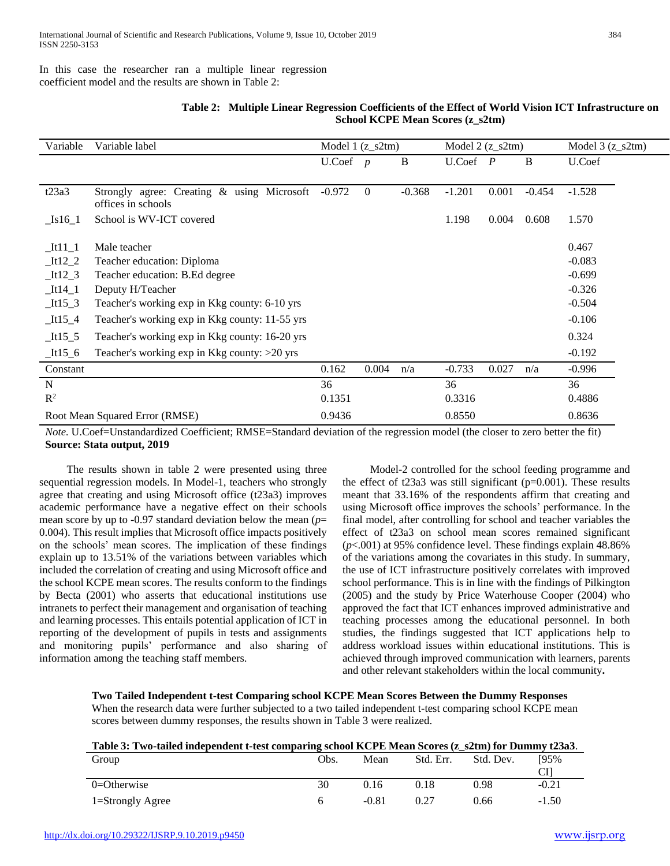In this case the researcher ran a multiple linear regression coefficient model and the results are shown in Table 2:

| Table 2: Multiple Linear Regression Coefficients of the Effect of World Vision ICT Infrastructure on |
|------------------------------------------------------------------------------------------------------|
| School KCPE Mean Scores (z s2tm)                                                                     |

| Variable                   | Variable label                                                   | Model $1 (z_s2tm)$ |                |          | Model $2(z$ <sub>S</sub> $2tm)$ |       |          | Model $3(z_s2tm)$ |  |
|----------------------------|------------------------------------------------------------------|--------------------|----------------|----------|---------------------------------|-------|----------|-------------------|--|
|                            |                                                                  | U.Coef             | $\overline{p}$ | B        | $U.C$ oef $P$                   |       | B        | U.Coef            |  |
|                            |                                                                  |                    |                |          |                                 |       |          |                   |  |
| t23a3                      | Strongly agree: Creating & using Microsoft<br>offices in schools | $-0.972$           | $\overline{0}$ | $-0.368$ | $-1.201$                        | 0.001 | $-0.454$ | $-1.528$          |  |
| $\lfloor$ Is16 $\lfloor$ 1 | School is WV-ICT covered                                         |                    |                |          | 1.198                           | 0.004 | 0.608    | 1.570             |  |
| $It11_1$                   | Male teacher                                                     |                    |                |          |                                 |       |          | 0.467             |  |
| $It12_2$                   | Teacher education: Diploma                                       |                    |                |          |                                 |       |          | $-0.083$          |  |
| $It12_3$                   | Teacher education: B.Ed degree                                   |                    |                |          |                                 |       |          | $-0.699$          |  |
| $It14_1$                   | Deputy H/Teacher                                                 |                    |                |          |                                 |       |          | $-0.326$          |  |
| $It15_3$                   | Teacher's working exp in Kkg county: 6-10 yrs                    |                    |                |          |                                 |       |          | $-0.504$          |  |
| $It15_4$                   | Teacher's working exp in Kkg county: 11-55 yrs                   |                    |                |          |                                 |       |          | $-0.106$          |  |
| $It15\_5$                  | Teacher's working exp in Kkg county: 16-20 yrs                   |                    |                |          |                                 |       |          | 0.324             |  |
| $It15_6$                   | Teacher's working $\exp$ in Kkg county: $>20$ yrs                |                    |                |          |                                 |       |          | $-0.192$          |  |
| Constant                   |                                                                  | 0.162              | 0.004          | n/a      | $-0.733$                        | 0.027 | n/a      | $-0.996$          |  |
| $\mathbf N$                |                                                                  | 36                 |                |          | 36                              |       |          | 36                |  |
| $R^2$                      |                                                                  | 0.1351             |                |          | 0.3316                          |       |          | 0.4886            |  |
|                            | Root Mean Squared Error (RMSE)                                   | 0.9436             |                |          | 0.8550                          |       |          | 0.8636            |  |

*Note.* U.Coef=Unstandardized Coefficient; RMSE=Standard deviation of the regression model (the closer to zero better the fit) **Source: Stata output, 2019**

 The results shown in table 2 were presented using three sequential regression models. In Model-1, teachers who strongly agree that creating and using Microsoft office (t23a3) improves academic performance have a negative effect on their schools mean score by up to -0.97 standard deviation below the mean (*p*= 0.004). This result implies that Microsoft office impacts positively on the schools' mean scores. The implication of these findings explain up to 13.51% of the variations between variables which included the correlation of creating and using Microsoft office and the school KCPE mean scores. The results conform to the findings by Becta (2001) who asserts that educational institutions use intranets to perfect their management and organisation of teaching and learning processes. This entails potential application of ICT in reporting of the development of pupils in tests and assignments and monitoring pupils' performance and also sharing of information among the teaching staff members.

 Model-2 controlled for the school feeding programme and the effect of t23a3 was still significant (p=0.001). These results meant that 33.16% of the respondents affirm that creating and using Microsoft office improves the schools' performance. In the final model, after controlling for school and teacher variables the effect of t23a3 on school mean scores remained significant (*p*<.001) at 95% confidence level. These findings explain 48.86% of the variations among the covariates in this study. In summary, the use of ICT infrastructure positively correlates with improved school performance. This is in line with the findings of Pilkington (2005) and the study by Price Waterhouse Cooper (2004) who approved the fact that ICT enhances improved administrative and teaching processes among the educational personnel. In both studies, the findings suggested that ICT applications help to address workload issues within educational institutions. This is achieved through improved communication with learners, parents and other relevant stakeholders within the local community**.**

## **Two Tailed Independent t-test Comparing school KCPE Mean Scores Between the Dummy Responses**

When the research data were further subjected to a two tailed independent t-test comparing school KCPE mean scores between dummy responses, the results shown in Table 3 were realized.

| Table 3: Two-tailed independent t-test comparing school KCPE Mean Scores (z s2tm) for Dummy t23a3. |      |         |           |           |         |  |  |  |
|----------------------------------------------------------------------------------------------------|------|---------|-----------|-----------|---------|--|--|--|
| Group                                                                                              | Obs. | Mean    | Std. Err. | Std. Dev. | 195%    |  |  |  |
|                                                                                                    |      |         |           |           | CH      |  |  |  |
| $0 =$ Otherwise                                                                                    | 30   | 0.16    | 0.18      | 0.98      | $-0.21$ |  |  |  |
| 1=Strongly Agree                                                                                   |      | $-0.81$ | 0.27      | 0.66      | $-1.50$ |  |  |  |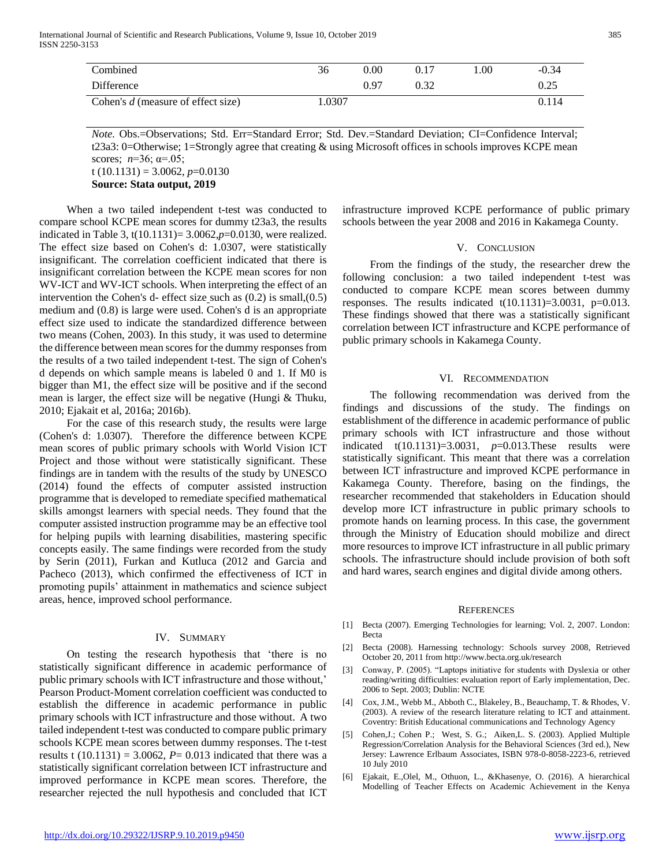| Combined                           | 36    | $0.00\,$ | 0.17 | .00. | $-0.34$ |
|------------------------------------|-------|----------|------|------|---------|
| Difference                         |       | 0.97     | 0.32 |      | 0.25    |
| Cohen's d (measure of effect size) | .0307 |          |      |      | 0.114   |

*Note.* Obs.=Observations; Std. Err=Standard Error; Std. Dev.=Standard Deviation; CI=Confidence Interval; t23a3: 0=Otherwise; 1=Strongly agree that creating & using Microsoft offices in schools improves KCPE mean scores; *n*=36; α=.05;

t (10.1131) = 3.0062,  $p=0.0130$ **Source: Stata output, 2019**

 When a two tailed independent t-test was conducted to compare school KCPE mean scores for dummy t23a3, the results indicated in Table 3, t(10.1131)= 3.0062,*p*=0.0130, were realized. The effect size based on Cohen's d: 1.0307, were statistically insignificant. The correlation coefficient indicated that there is insignificant correlation between the KCPE mean scores for non WV-ICT and WV-ICT schools. When interpreting the effect of an intervention the Cohen's d- effect size such as (0.2) is small,(0.5) medium and (0.8) is large were used. Cohen's d is an appropriate effect size used to indicate the standardized difference between two means (Cohen, 2003). In this study, it was used to determine the difference between mean scores for the dummy responses from the results of a two tailed independent t-test. The sign of Cohen's d depends on which sample means is labeled 0 and 1. If M0 is bigger than M1, the effect size will be positive and if the second mean is larger, the effect size will be negative (Hungi & Thuku, 2010; Ejakait et al, 2016a; 2016b).

 For the case of this research study, the results were large (Cohen's d: 1.0307). Therefore the difference between KCPE mean scores of public primary schools with World Vision ICT Project and those without were statistically significant. These findings are in tandem with the results of the study by UNESCO (2014) found the effects of computer assisted instruction programme that is developed to remediate specified mathematical skills amongst learners with special needs. They found that the computer assisted instruction programme may be an effective tool for helping pupils with learning disabilities, mastering specific concepts easily. The same findings were recorded from the study by Serin (2011), Furkan and Kutluca (2012 and Garcia and Pacheco (2013), which confirmed the effectiveness of ICT in promoting pupils' attainment in mathematics and science subject areas, hence, improved school performance.

## IV. SUMMARY

 On testing the research hypothesis that 'there is no statistically significant difference in academic performance of public primary schools with ICT infrastructure and those without,' Pearson Product-Moment correlation coefficient was conducted to establish the difference in academic performance in public primary schools with ICT infrastructure and those without. A two tailed independent t-test was conducted to compare public primary schools KCPE mean scores between dummy responses. The t-test results t  $(10.1131) = 3.0062$ ,  $P = 0.013$  indicated that there was a statistically significant correlation between ICT infrastructure and improved performance in KCPE mean scores. Therefore, the researcher rejected the null hypothesis and concluded that ICT

infrastructure improved KCPE performance of public primary schools between the year 2008 and 2016 in Kakamega County.

## V. CONCLUSION

 From the findings of the study, the researcher drew the following conclusion: a two tailed independent t-test was conducted to compare KCPE mean scores between dummy responses. The results indicated  $t(10.1131)=3.0031$ ,  $p=0.013$ . These findings showed that there was a statistically significant correlation between ICT infrastructure and KCPE performance of public primary schools in Kakamega County.

### VI. RECOMMENDATION

 The following recommendation was derived from the findings and discussions of the study. The findings on establishment of the difference in academic performance of public primary schools with ICT infrastructure and those without indicated t(10.1131)=3.0031, *p*=0.013.These results were statistically significant. This meant that there was a correlation between ICT infrastructure and improved KCPE performance in Kakamega County. Therefore, basing on the findings, the researcher recommended that stakeholders in Education should develop more ICT infrastructure in public primary schools to promote hands on learning process. In this case, the government through the Ministry of Education should mobilize and direct more resources to improve ICT infrastructure in all public primary schools. The infrastructure should include provision of both soft and hard wares, search engines and digital divide among others.

#### **REFERENCES**

- [1] Becta (2007). Emerging Technologies for learning; Vol. 2, 2007. London: Becta
- [2] Becta (2008). Harnessing technology: Schools survey 2008, Retrieved October 20, 2011 from http://www.becta.org.uk/research
- [3] Conway, P. (2005). "Laptops initiative for students with Dyslexia or other reading/writing difficulties: evaluation report of Early implementation, Dec. 2006 to Sept. 2003; Dublin: NCTE
- [4] Cox, J.M., Webb M., Abboth C., Blakeley, B., Beauchamp, T. & Rhodes, V. (2003). A review of the research literature relating to ICT and attainment. Coventry: British Educational communications and Technology Agency
- [5] Cohen,J.; Cohen P.; West, S. G.; Aiken,L. S. (2003). Applied Multiple Regression/Correlation Analysis for the Behavioral Sciences (3rd ed.), New Jersey: Lawrence Erlbaum Associates, ISBN 978-0-8058-2223-6, retrieved 10 July 2010
- [6] Ejakait, E.,Olel, M., Othuon, L., &Khasenye, O. (2016). A hierarchical Modelling of Teacher Effects on Academic Achievement in the Kenya